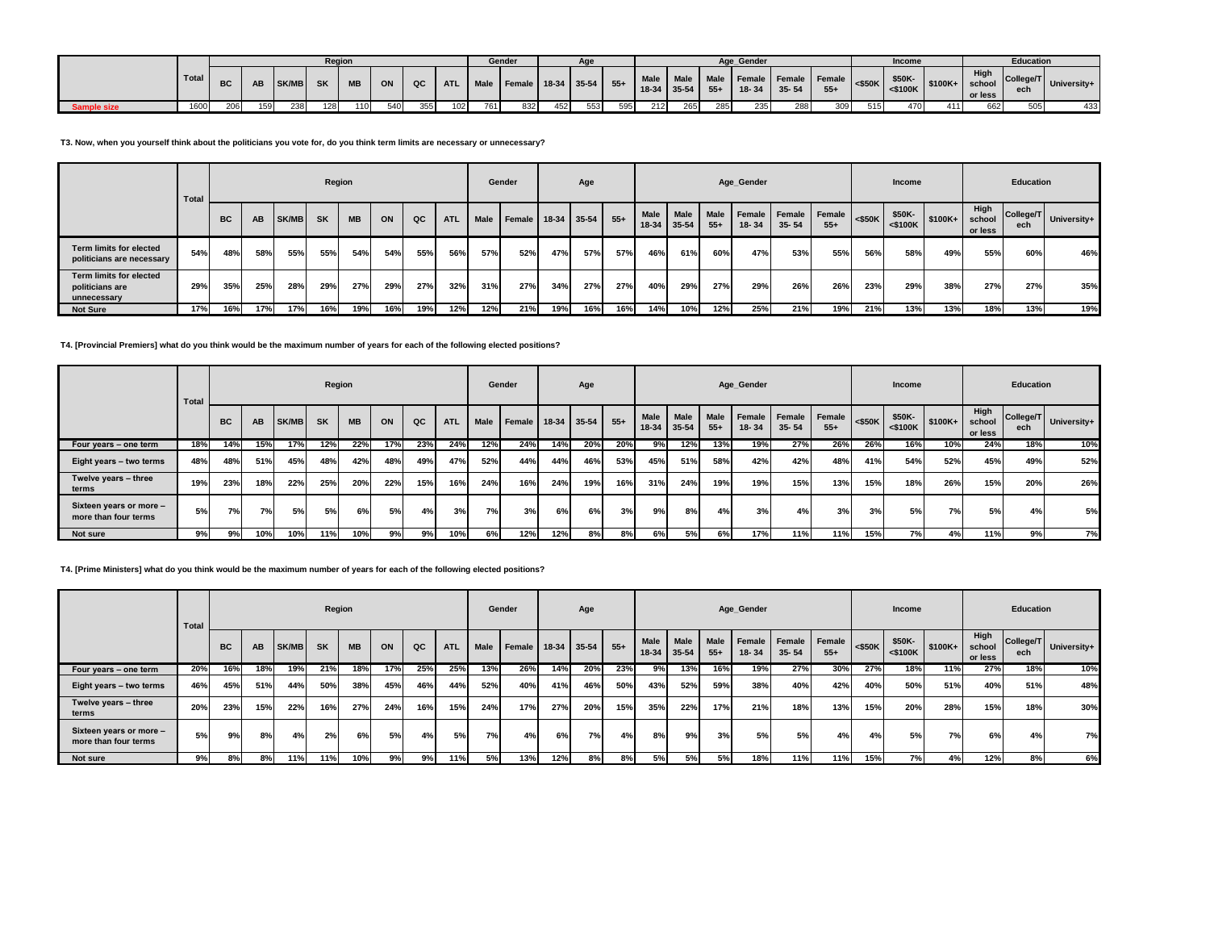|                    |       |           |           |          | Region |           |     |     |            |     | Gender                      |     |     |     |     |     |     | Age Gender              |           |                                                          |             | <b>Income</b>          |                 |                 | <b>Education</b> |                      |
|--------------------|-------|-----------|-----------|----------|--------|-----------|-----|-----|------------|-----|-----------------------------|-----|-----|-----|-----|-----|-----|-------------------------|-----------|----------------------------------------------------------|-------------|------------------------|-----------------|-----------------|------------------|----------------------|
|                    | Total | <b>BC</b> | <b>AB</b> | SK/MB SK |        | <b>MB</b> | ON  | QC  | <b>ATL</b> |     | Male Female 18-34 35-54 55+ |     |     |     |     |     |     | $18-34$ 35-54 55+ 18-34 | $35 - 54$ | Male   Male   Male   Female   Female   Female  <br>$55+$ | $\sim$ 550K | \$50K-  <br>$<$ \$100K | $$100K+$ school | High<br>or less |                  | College/T University |
| <b>Sample size</b> | 1600  | 206       | 159       | 238      | 128    | 110       | 540 | 355 | 102        | 761 | 832                         | 452 | 553 | 595 | 212 | 265 | 285 | 235                     | 288       | 309                                                      | 515         | 470                    | 411             | 662             | 505              | 433                  |

### **T3. Now, when you yourself think about the politicians you vote for, do you think term limits are necessary or unnecessary?**

|                                                             | Total |           |     |       | Region    |           |     |     |            |      | Gender |     | Age         |       |                   |                   |                      | Age_Gender |                            |                 |           | Income                  |          |                           | Education        |             |
|-------------------------------------------------------------|-------|-----------|-----|-------|-----------|-----------|-----|-----|------------|------|--------|-----|-------------|-------|-------------------|-------------------|----------------------|------------|----------------------------|-----------------|-----------|-------------------------|----------|---------------------------|------------------|-------------|
|                                                             |       | <b>BC</b> | AB  | SK/MB | <b>SK</b> | <b>MB</b> | ON  | QC  | <b>ATL</b> | Male | Female |     | 18-34 35-54 | $55+$ | Male<br>$18 - 34$ | Male<br>$35 - 54$ | <b>Male</b><br>$55+$ | $18 - 34$  | Female Female<br>$35 - 54$ | Female<br>$55+$ | $<$ \$50K | \$50K-<br>$<$ \$100 $K$ | $$100K+$ | High<br>school<br>or less | College/T<br>ech | University+ |
| <b>Term limits for elected</b><br>politicians are necessary | 54%   | 48%       | 58% | 55%   | 55%       | 54%       | 54% | 55% | 56%        | 57%  | 52%    | 47% | 57%         | 57%   | 46%               | 61%               | 60%                  | 47%        | 53%                        | 55%             | 56%       | 58%                     | 49%      | 55%                       | 60%              | 46%         |
| Term limits for elected<br>politicians are<br>unnecessary   | 29%   | 35%       | 25% | 28%   | 29%       | 27%       | 29% | 27% | 32%        | 31%  | 27%    | 34% | 27%         | 27%   | 40%               | 29%               | 27%                  | 29%        | 26%                        | 26%             | 23%       | 29%                     | 38%      | 27%                       | 27%              | 35%         |
| <b>Not Sure</b>                                             | 17%   | 16%       | 17% | 17%   | 16%       | 19%       | 16% | 19% | 12%        | 12%  | 21%    | 19% | 16%         | 16%   | 14%               | 10%               | 12%                  | 25%        | 21%                        | 19%             | 21%       | 13%                     | 13%      | 18%                       | 13%              | 19%         |

# **T4. [Provincial Premiers] what do you think would be the maximum number of years for each of the following elected positions?**

|                                                 | Total |           |           |       | Region    |           |     |     |            |             | Gender |     | Age         |       |                   |                   |               | Age_Gender |                            |                 |           | Income                  |          |                           | <b>Education</b> |                       |
|-------------------------------------------------|-------|-----------|-----------|-------|-----------|-----------|-----|-----|------------|-------------|--------|-----|-------------|-------|-------------------|-------------------|---------------|------------|----------------------------|-----------------|-----------|-------------------------|----------|---------------------------|------------------|-----------------------|
|                                                 |       | <b>BC</b> | AB        | SK/MB | <b>SK</b> | <b>MB</b> | ON  | QC  | <b>ATL</b> | <b>Male</b> | Female |     | 18-34 35-54 | $55+$ | Male<br>$18 - 34$ | Male<br>$35 - 54$ | Male<br>$55+$ | $18 - 34$  | Female Female<br>$35 - 54$ | Female<br>$55+$ | $<$ \$50K | \$50K-<br>$<$ \$100 $K$ | $$100K+$ | High<br>school<br>or less | ech              | College/T University+ |
| Four years - one term                           | 18%   | 14%       | 15%       | 17%   | 12%       | 22%       | 17% | 23% | 24%        | 12%         | 24%    | 14% | 20%         | 20%   | 9%                | 12%               | 13%           | 19%        | 27%                        | 26%             | 26%       | 16%                     | 10%      | 24%                       | 18%              | 10%                   |
| Eight years - two terms                         | 48%   | 48%       | 51%       | 45%   | 48%       | 42%       | 48% | 49% | 47%        | 52%         | 44%    | 44% | 46%         | 53%   | 45%               | 51%               | 58%           | 42%        | 42%                        | 48%             | 41%       | 54%                     | 52%      | 45%                       | 49%              | 52%                   |
| Twelve years - three<br>terms                   | 19%   | 23%       | 18%       | 22%   | 25%       | 20%       | 22% | 15% | 16%        | 24%         | 16%    | 24% | 19%         | 16%   | 31%               | 24%               | 19%           | 19%        | 15%                        | 13%             | 15%       | 18%                     | 26%      | 15%                       | 20%              | 26%                   |
| Sixteen years or more -<br>more than four terms | 5%    | 7%        | <b>7%</b> | 5%    | 5%        | 6%        | 5%  | 4%  | 3%         | 7%          | 3%     | 6%  | 6%          | 3%    | 9%1               | 8%                | 4%            | 3%         | 4%                         | 3%              | 3%        | 5%                      | 7%       | 5%                        | 4%               | 5%                    |
| Not sure                                        | 9%    | 9%        | 10%       | 10%   | 11%       | 10%       | 9%  | 9%  | 10%        | 6%          | 12%    | 12% | 8%          | 8%    | 6%                | 5%                | 6%            | 17%        | 11%                        | 11%             | 15%       | 7%                      | 4%       | 11%                       | 9%               | 7%                    |

## **T4. [Prime Ministers] what do you think would be the maximum number of years for each of the following elected positions?**

|                                                 | Total |           |     |       | Region    |           |     |     |            |      | Gender |     | Age         |       |      |                     |                      | Age Gender          |                     |                 |           | Income               |          |                           | <b>Education</b> |             |
|-------------------------------------------------|-------|-----------|-----|-------|-----------|-----------|-----|-----|------------|------|--------|-----|-------------|-------|------|---------------------|----------------------|---------------------|---------------------|-----------------|-----------|----------------------|----------|---------------------------|------------------|-------------|
|                                                 |       | <b>BC</b> | AB  | SK/MB | <b>SK</b> | <b>MB</b> | ON  | QC  | <b>ATL</b> | Male | Female |     | 18-34 35-54 | $55+$ | Male | Male<br>18-34 35-54 | <b>Male</b><br>$55+$ | Female<br>$18 - 34$ | Female<br>$35 - 54$ | Female<br>$55+$ | $<$ \$50K | \$50K-<br>$<$ \$100K | $$100K+$ | High<br>school<br>or less | College/T<br>ech | University+ |
| Four years - one term                           | 20%   | 16%       | 18% | 19%   | 21%       | 18%       | 17% | 25% | 25%        | 13%  | 26%    | 14% | 20%         | 23%   | 9%   | 13%                 | 16%                  | 19%                 | 27%                 | 30%             | 27%       | 18%                  | 11%      | 27%                       | 18%              | 10%         |
| Eight years - two terms                         | 46%   | 45%       | 51% | 44%   | 50%       | 38%       | 45% | 46% | 44%        | 52%  | 40%    | 41% | 46%         | 50%   | 43%  | 52%                 | 59%                  | 38%                 | 40%                 | 42%             | 40%       | 50%                  | 51%      | 40%                       | 51%              | 48%         |
| Twelve years - three<br>terms                   | 20%   | 23%       | 15% | 22%   | 16%       | 27%       | 24% | 16% | 15%        | 24%  | 17%    | 27% | 20%         | 15%   | 35%  | 22%                 | 17%                  | 21%                 | 18%                 | 13%             | 15%       | 20%                  | 28%      | 15%                       | 18%              | 30%         |
| Sixteen years or more -<br>more than four terms | 5%    | 9%        | 8%  | 4%    | 2%        | 6%        | 5%  | 4%  | 5%         | 7%   | 4%     | 6%  | 7%          | 4%    | 8%   | 9%                  | 3%                   | 5%                  | 5%                  | 4%              | 4%        | 5%                   | 7%       | 6%                        | 4%               | 7%          |
| Not sure                                        | 9%    | 8%        | 8%  | 11%   | 11%       | 10%       | 9%  | 9%  | 11%        | 5%   | 13%    | 12% | 8%          | 8%    | 5%   | 5%                  | 5%                   | 18%                 | 11%                 | 11%             | 15%       | 7%                   | 4%       | 12%                       | 8%               | 6%          |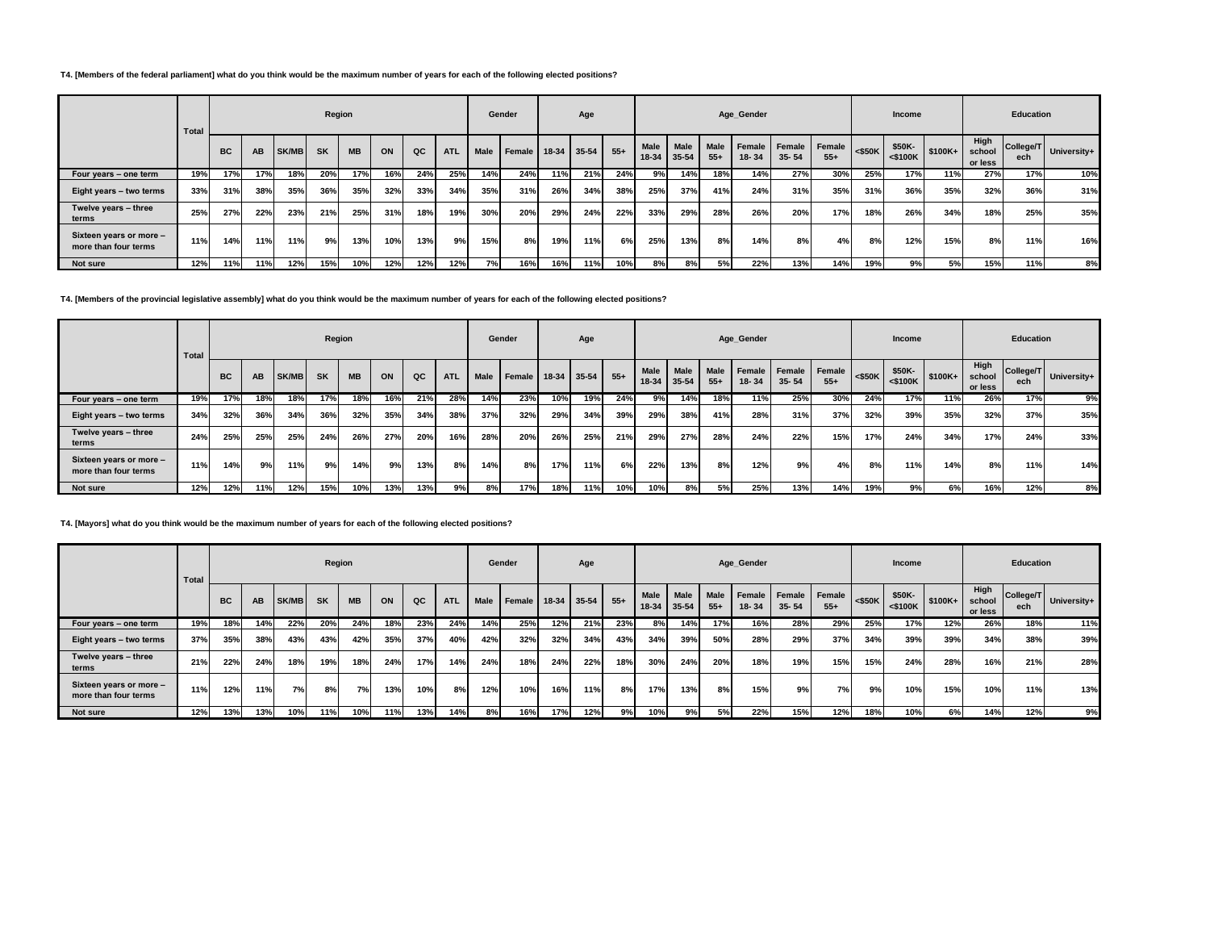# **T4. [Members of the federal parliament] what do you think would be the maximum number of years for each of the following elected positions?**

|                                                 | <b>Total</b> |           |     |       | Region    |           |     |     |            |      | Gender |     | Age         |       |                      |                   |                      | Age Gender          |                     |                 |           | Income                  |          |                           | Education        |             |
|-------------------------------------------------|--------------|-----------|-----|-------|-----------|-----------|-----|-----|------------|------|--------|-----|-------------|-------|----------------------|-------------------|----------------------|---------------------|---------------------|-----------------|-----------|-------------------------|----------|---------------------------|------------------|-------------|
|                                                 |              | <b>BC</b> | AB  | SK/MB | <b>SK</b> | <b>MB</b> | ON  | QC  | <b>ATL</b> | Male | Female |     | 18-34 35-54 | $55+$ | <b>Male</b><br>18-34 | Male<br>$35 - 54$ | <b>Male</b><br>$55+$ | Female<br>$18 - 34$ | Female<br>$35 - 54$ | Female<br>$55+$ | $<$ \$50K | \$50K-<br>$<$ \$100 $K$ | $$100K+$ | High<br>school<br>or less | College/T<br>ech | University+ |
| Four years - one term                           | 19%          | 17%       | 17% | 18%   | 20%       | 17%       | 16% | 24% | 25%        | 14%  | 24%    | 11% | 21%         | 24%   | $9\%$                | 14%               | 18%                  | 14%                 | 27%                 | 30%             | 25%       | 17%                     | 11%      | 27%                       | 17%              | 10%         |
| Eight years - two terms                         | 33%          | 31%       | 38% | 35%   | 36%       | 35%       | 32% | 33% | 34%        | 35%  | 31%    | 26% | 34%         | 38%   | 25%                  | 37%               | 41%                  | 24%                 | 31%                 | 35%             | 31%       | 36%                     | 35%      | 32%                       | 36%              | 31%         |
| Twelve years - three<br>terms                   | 25%          | 27%       | 22% | 23%   | 21%       | 25%       | 31% | 18% | 19%        | 30%  | 20%    | 29% | 24%         | 22%   | 33%                  | 29%               | 28%                  | 26%                 | 20%                 | 17%             | 18%       | 26%                     | 34%      | 18%                       | 25%              | 35%         |
| Sixteen years or more -<br>more than four terms | 11%          | 14%       | 11% | 11%   | 9%        | 13%       | 10% | 13% | 9%।        | 15%  | 8%     | 19% | 11%         | 6%    | 25%                  | 13%               | 8%                   | 14%                 | 8%                  | 4%              | 8%        | 12%                     | 15%      | 8%                        | 11%              | 16%         |
| Not sure                                        | 12%          | 11%       | 11% | 12%   | 15%       | 10%       | 12% | 12% | 12%        | 7%   | 16%    | 16% | 11%         | 10%   | 8%                   | 8%                | 5%                   | 22%                 | 13%                 | 14%             | 19%       | 9%                      | 5%       | 15%                       | 11%              | 8%          |

**T4. [Members of the provincial legislative assembly] what do you think would be the maximum number of years for each of the following elected positions?**

|                                                 | Total |           |           |       | Region    |           |     |     |            |      | Gender |     | Age         |       |                          |                          |                      | Age Gender            |                     |                 |           | Income               |          |                           | <b>Education</b> |               |
|-------------------------------------------------|-------|-----------|-----------|-------|-----------|-----------|-----|-----|------------|------|--------|-----|-------------|-------|--------------------------|--------------------------|----------------------|-----------------------|---------------------|-----------------|-----------|----------------------|----------|---------------------------|------------------|---------------|
|                                                 |       | <b>BC</b> | <b>AB</b> | SK/MB | <b>SK</b> | <b>MB</b> | ON  | QC  | <b>ATL</b> | Male | Female |     | 18-34 35-54 | $55+$ | <b>Male</b><br>$18 - 34$ | <b>Male</b><br>$35 - 54$ | <b>Male</b><br>$55+$ | Female  <br>$18 - 34$ | Female<br>$35 - 54$ | Female<br>$55+$ | $<$ \$50K | \$50K-<br>$<$ \$100K | $$100K+$ | High<br>school<br>or less | College/T<br>ech | I University+ |
| Four years - one term                           | 19%   | 17%       | 18%       | 18%   | 17%       | 18%       | 16% | 21% | 28%        | 14%  | 23%    | 10% | 19%         | 24%   | 9%                       | 14%                      | 18%                  | 11%                   | 25%                 | 30%             | 24%       | 17%                  | 11%      | 26%                       | 17%              | 9%            |
| Eight years - two terms                         | 34%   | 32%       | 36%       | 34%   | 36%       | 32%       | 35% | 34% | 38%        | 37%  | 32%    | 29% | 34%         | 39%   | 29%                      | 38%                      | 41%                  | 28%                   | 31%                 | 37%             | 32%       | 39%                  | 35%      | 32%                       | 37%              | 35%           |
| Twelve years - three<br>terms                   | 24%   | 25%       | 25%       | 25%   | 24%       | 26%       | 27% | 20% | 16%        | 28%  | 20%    | 26% | 25%         | 21%   | 29%                      | 27%                      | 28%                  | 24%                   | 22%                 | 15%             | 17%       | 24%                  | 34%      | 17%                       | 24%              | 33%           |
| Sixteen years or more -<br>more than four terms | 11%   | 14%       | 9%        | 11%   | 9%        | 14%       | 9%  | 13% | 8%         | 14%  | 8%     | 17% | 11%         | 6%    | 22%                      | 13%                      | 8%                   | 12%                   | 9%                  | 4%              | 8%        | 11%                  | 14%      | 8%                        | 11%              | 14%           |
| Not sure                                        | 12%   | 12%       | 11%       | 12%   | 15%       | 10%       | 13% | 13% | 9%         | 8%   | 17%    | 18% | 11%         | 10%   | 10%                      | 8%                       | 5%                   | 25%                   | 13%                 | 14%             | 19%       | 9%                   | 6%       | 16%                       | 12%              | 8%            |

#### **T4. [Mayors] what do you think would be the maximum number of years for each of the following elected positions?**

|                                                 | Total |           |           |       | Region    |           |     |     |            |      | Gender |       | Age     |       |                      |                      |                      | Age_Gender          |                     |                 |           | Income               |          |                           | <b>Education</b> |             |
|-------------------------------------------------|-------|-----------|-----------|-------|-----------|-----------|-----|-----|------------|------|--------|-------|---------|-------|----------------------|----------------------|----------------------|---------------------|---------------------|-----------------|-----------|----------------------|----------|---------------------------|------------------|-------------|
|                                                 |       | <b>BC</b> | <b>AB</b> | SK/MB | <b>SK</b> | <b>MB</b> | ON  | QC  | <b>ATL</b> | Male | Female | 18-34 | $35-54$ | $55+$ | <b>Male</b><br>18-34 | <b>Male</b><br>35-54 | <b>Male</b><br>$55+$ | Female<br>$18 - 34$ | Female<br>$35 - 54$ | Female<br>$55+$ | $<$ \$50K | \$50K-<br>$<$ \$100K | $$100K+$ | High<br>school<br>or less | College/T<br>ech | University+ |
| Four years - one term                           | 19%   | 18%       | 14%       | 22%   | 20%       | 24%       | 18% | 23% | 24%        | 14%  | 25%    | 12%   | 21%     | 23%   | 8%                   | 14%                  | 17%                  | 16%                 | 28%                 | 29%             | 25%       | 17%                  | 12%      | 26%                       | 18%              | 11%         |
| Eight years - two terms                         | 37%   | 35%       | 38%       | 43%   | 43%       | 42%       | 35% | 37% | 40%        | 42%  | 32%    | 32%   | 34%     | 43%   | 34%                  | 39%                  | 50%                  | 28%                 | 29%                 | 37%             | 34%       | 39%                  | 39%      | 34%                       | 38%              | 39%         |
| Twelve years - three<br>terms                   | 21%   | 22%       | 24%       | 18%   | 19%       | 18%       | 24% | 17% | 14%        | 24%  | 18%    | 24%   | 22%     | 18%   | 30%                  | 24%                  | 20%                  | 18%                 | 19%                 | 15%             | 15%       | 24%                  | 28%      | 16%                       | 21%              | 28%         |
| Sixteen years or more -<br>more than four terms | 11%   | 12%       | 11%       | 7%    | 8%        | 7%        | 13% | 10% | 8%         | 12%  | 10%    | 16%   | 11%     | 8%    | 17%                  | 13%                  | 8%                   | 15%                 | 9% I                | 7%              | 9%        | 10%                  | 15%      | 10%                       | 11%              | 13%         |
| Not sure                                        | 12%   | 13%       | 13%       | 10%   | 11%       | 10%       | 11% | 13% | 14%        | 8%   | 16%    | 17%   | 12%     | 9%    | 10%                  | 9%                   | 5%                   | 22%                 | 15%                 | 12%             | 18%       | 10%                  | 6%       | 14%                       | 12%              | 9%          |